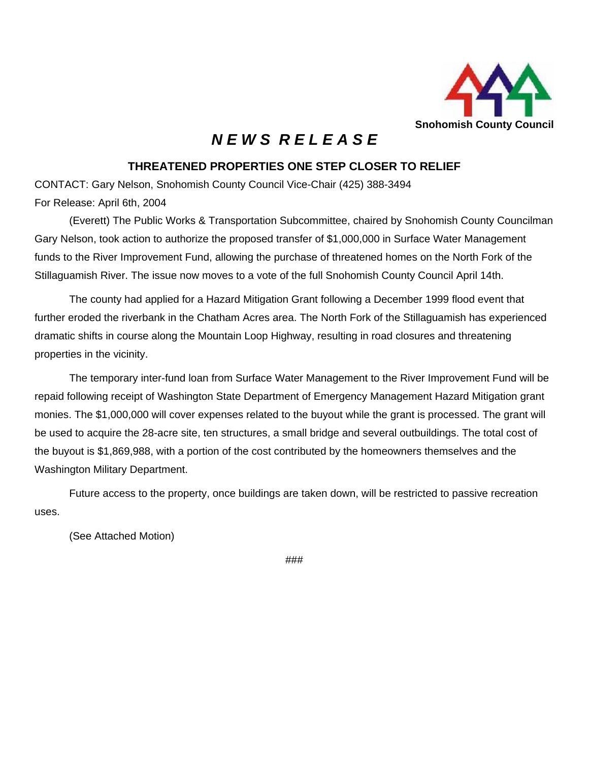

## *N E W S R E L E A S E*

## **THREATENED PROPERTIES ONE STEP CLOSER TO RELIEF**

CONTACT: Gary Nelson, Snohomish County Council Vice-Chair (425) 388-3494 For Release: April 6th, 2004

(Everett) The Public Works & Transportation Subcommittee, chaired by Snohomish County Councilman Gary Nelson, took action to authorize the proposed transfer of \$1,000,000 in Surface Water Management funds to the River Improvement Fund, allowing the purchase of threatened homes on the North Fork of the Stillaguamish River. The issue now moves to a vote of the full Snohomish County Council April 14th.

The county had applied for a Hazard Mitigation Grant following a December 1999 flood event that further eroded the riverbank in the Chatham Acres area. The North Fork of the Stillaguamish has experienced dramatic shifts in course along the Mountain Loop Highway, resulting in road closures and threatening properties in the vicinity.

The temporary inter-fund loan from Surface Water Management to the River Improvement Fund will be repaid following receipt of Washington State Department of Emergency Management Hazard Mitigation grant monies. The \$1,000,000 will cover expenses related to the buyout while the grant is processed. The grant will be used to acquire the 28-acre site, ten structures, a small bridge and several outbuildings. The total cost of the buyout is \$1,869,988, with a portion of the cost contributed by the homeowners themselves and the Washington Military Department.

Future access to the property, once buildings are taken down, will be restricted to passive recreation uses.

(See Attached Motion)

###